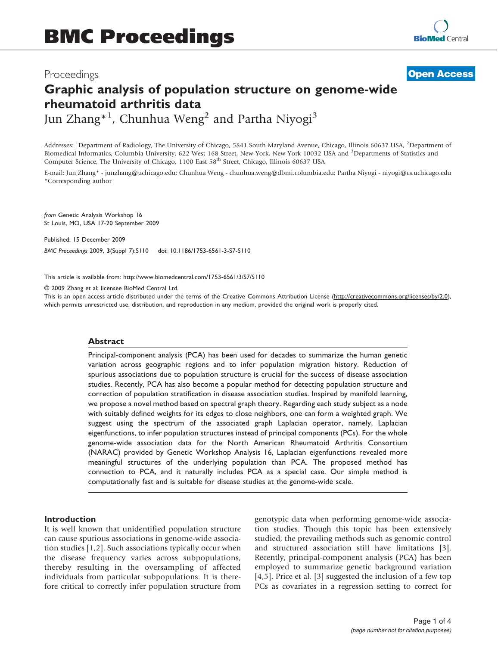**[Open Access](http://www.biomedcentral.com/info/about/charter/)**

# Graphic analysis of population structure on genome-wide rheumatoid arthritis data Jun Zhang\*<sup>1</sup>, Chunhua Weng<sup>2</sup> and Partha Niyogi<sup>3</sup>

Addresses: <sup>1</sup>Department of Radiology, The University of Chicago, 5841 South Maryland Avenue, Chicago, Illinois 60637 USA, <sup>2</sup>Department of Biomedical Informatics, Columbia University, 622 West 168 Street, New York, New York 10032 USA and <sup>3</sup>Departments of Statistics and Computer Science, The University of Chicago, 1100 East 58<sup>th</sup> Street, Chicago, Illinois 60637 USA

E-mail: Jun Zhang\* - [junzhang@uchicago.edu](mailto:junzhang@uchicago.edu); Chunhua Weng - [chunhua.weng@dbmi.columbia.edu](mailto:chunhua.weng@dbmi.columbia.edu); Partha Niyogi - [niyogi@cs.uchicago.edu](mailto:niyogi@cs.uchicago.edu) \*Corresponding author

from Genetic Analysis Workshop 16 St Louis, MO, USA 17-20 September 2009

Published: 15 December 2009

BMC Proceedings 2009, 3(Suppl 7):S110 doi: 10.1186/1753-6561-3-S7-S110

This article is available from: http://www.biomedcentral.com/1753-6561/3/S7/S110

© 2009 Zhang et al; licensee BioMed Central Ltd.

This is an open access article distributed under the terms of the Creative Commons Attribution License [\(http://creativecommons.org/licenses/by/2.0\)](http://creativecommons.org/licenses/by/2.0), which permits unrestricted use, distribution, and reproduction in any medium, provided the original work is properly cited.

## Abstract

Principal-component analysis (PCA) has been used for decades to summarize the human genetic variation across geographic regions and to infer population migration history. Reduction of spurious associations due to population structure is crucial for the success of disease association studies. Recently, PCA has also become a popular method for detecting population structure and correction of population stratification in disease association studies. Inspired by manifold learning, we propose a novel method based on spectral graph theory. Regarding each study subject as a node with suitably defined weights for its edges to close neighbors, one can form a weighted graph. We suggest using the spectrum of the associated graph Laplacian operator, namely, Laplacian eigenfunctions, to infer population structures instead of principal components (PCs). For the whole genome-wide association data for the North American Rheumatoid Arthritis Consortium (NARAC) provided by Genetic Workshop Analysis 16, Laplacian eigenfunctions revealed more meaningful structures of the underlying population than PCA. The proposed method has connection to PCA, and it naturally includes PCA as a special case. Our simple method is computationally fast and is suitable for disease studies at the genome-wide scale.

## Introduction

It is well known that unidentified population structure can cause spurious associations in genome-wide association studies [[1](#page-3-0),[2](#page-3-0)]. Such associations typically occur when the disease frequency varies across subpopulations, thereby resulting in the oversampling of affected individuals from particular subpopulations. It is therefore critical to correctly infer population structure from genotypic data when performing genome-wide association studies. Though this topic has been extensively studied, the prevailing methods such as genomic control and structured association still have limitations [[3](#page-3-0)]. Recently, principal-component analysis (PCA) has been employed to summarize genetic background variation [[4](#page-3-0),[5](#page-3-0)]. Price et al. [\[3\]](#page-3-0) suggested the inclusion of a few top PCs as covariates in a regression setting to correct for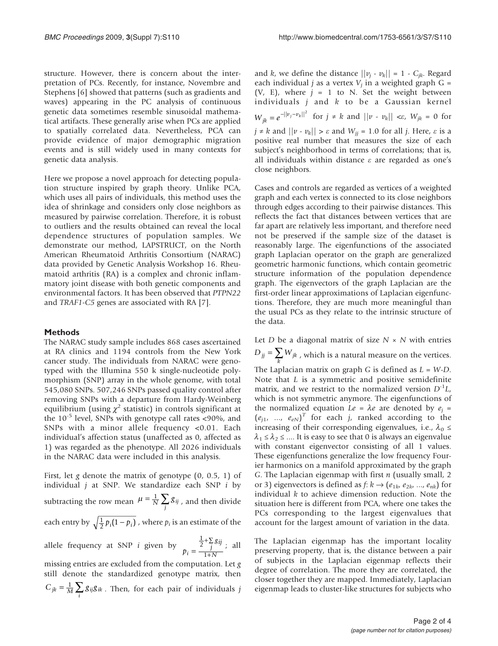structure. However, there is concern about the interpretation of PCs. Recently, for instance, Novembre and Stephens [\[6\]](#page-3-0) showed that patterns (such as gradients and waves) appearing in the PC analysis of continuous genetic data sometimes resemble sinusoidal mathematical artifacts. These generally arise when PCs are applied to spatially correlated data. Nevertheless, PCA can provide evidence of major demographic migration events and is still widely used in many contexts for genetic data analysis.

Here we propose a novel approach for detecting population structure inspired by graph theory. Unlike PCA, which uses all pairs of individuals, this method uses the idea of shrinkage and considers only close neighbors as measured by pairwise correlation. Therefore, it is robust to outliers and the results obtained can reveal the local dependence structures of population samples. We demonstrate our method, LAPSTRUCT, on the North American Rheumatoid Arthritis Consortium (NARAC) data provided by Genetic Analysis Workshop 16. Rheumatoid arthritis (RA) is a complex and chronic inflammatory joint disease with both genetic components and environmental factors. It has been observed that PTPN22 and TRAF1-C5 genes are associated with RA [[7](#page-3-0)].

## Methods

The NARAC study sample includes 868 cases ascertained at RA clinics and 1194 controls from the New York cancer study. The individuals from NARAC were genotyped with the Illumina 550 k single-nucleotide polymorphism (SNP) array in the whole genome, with total 545,080 SNPs. 507,246 SNPs passed quality control after removing SNPs with a departure from Hardy-Weinberg equilibrium (using  $\chi^2$  statistic) in controls significant at the  $10^{-5}$  level, SNPs with genotype call rates <90%, and SNPs with a minor allele frequency <0.01. Each individual's affection status (unaffected as 0, affected as 1) was regarded as the phenotype. All 2026 individuals in the NARAC data were included in this analysis.

First, let g denote the matrix of genotype  $(0, 0.5, 1)$  of individual  $j$  at SNP. We standardize each SNP  $i$  by subtracting the row mean  $\mu = \frac{1}{N} \sum_j g_{ij}$ , and then divide each entry by  $\sqrt{\frac{1}{2}p_i(1-p_i)}$  , where  $p_i$  is an estimate of the allele frequency at SNP *i* given by  $p_i = \frac{\frac{1}{2} + \sum_j g_{ij}}{1 + N}$  $=\frac{J}{1+N}$ +∑ +  $\frac{1}{2}$ 1 ; all

missing entries are excluded from the computation. Let g still denote the standardized genotype matrix, then  $C_{jk} = \frac{1}{M} \sum_{i} g_{ij} g_{ik}$ . Then, for each pair of individuals j

and k, we define the distance  $||v_i - v_k|| = 1 - C_{ik}$ . Regard each individual *j* as a vertex  $V_i$  in a weighted graph  $G =$ (V, E), where  $j = 1$  to N. Set the weight between individuals  $j$  and  $k$  to be a Gaussian kernel  $W_{jk} = e^{-\frac{||v_j - v_k||^2}{2}}$  for  $j \neq k$  and  $||v - v_k|| < \varepsilon$ ,  $W_{jk} = 0$  for  $j \neq k$  and  $||v - v_k|| > \varepsilon$  and  $W_{jj} = 1.0$  for all j. Here,  $\varepsilon$  is a positive real number that measures the size of each subject's neighborhood in terms of correlations; that is, all individuals within distance  $\varepsilon$  are regarded as one's close neighbors.

Cases and controls are regarded as vertices of a weighted graph and each vertex is connected to its close neighbors through edges according to their pairwise distances. This reflects the fact that distances between vertices that are far apart are relatively less important, and therefore need not be preserved if the sample size of the dataset is reasonably large. The eigenfunctions of the associated graph Laplacian operator on the graph are generalized geometric harmonic functions, which contain geometric structure information of the population dependence graph. The eigenvectors of the graph Laplacian are the first-order linear approximations of Laplacian eigenfunctions. Therefore, they are much more meaningful than the usual PCs as they relate to the intrinsic structure of the data.

Let  $D$  be a diagonal matrix of size  $N \times N$  with entries  $D_{jj} = \sum_{k} W_{jk}$  , which is a natural measure on the vertices. The Laplacian matrix on graph  $G$  is defined as  $L = W-D$ . Note that L is a symmetric and positive semidefinite matrix, and we restrict to the normalized version  $D^{-1}L$ , which is not symmetric anymore. The eigenfunctions of the normalized equation  $Le = \lambda e$  are denoted by  $e_i$  =  $(e_{j1}, ..., e_{eN})^T$  for each j, ranked according to the<br>increasing of their corresponding eigenvalues i.e.  $\lambda_{i}$ increasing of their corresponding eigenvalues, i.e.,  $\lambda_0 \leq$  $\lambda_1 \leq \lambda_2 \leq \dots$  It is easy to see that 0 is always an eigenvalue with constant eigenvector consisting of all 1 values. These eigenfunctions generalize the low frequency Fourier harmonics on a manifold approximated by the graph G. The Laplacian eigenmap with first  $n$  (usually small, 2 or 3) eigenvectors is defined as  $f: k \rightarrow (e_{1k}, e_{2k}, ..., e_{nk})$  for individual  $k$  to achieve dimension reduction. Note the situation here is different from PCA, where one takes the PCs corresponding to the largest eigenvalues that account for the largest amount of variation in the data.

The Laplacian eigenmap has the important locality preserving property, that is, the distance between a pair of subjects in the Laplacian eigenmap reflects their degree of correlation. The more they are correlated, the closer together they are mapped. Immediately, Laplacian eigenmap leads to cluster-like structures for subjects who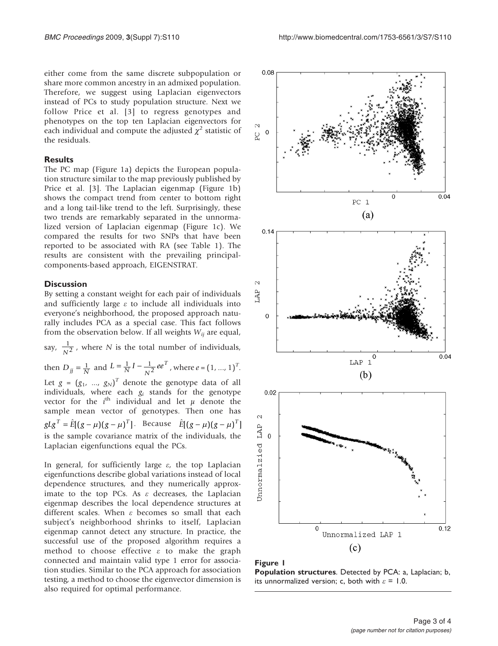either come from the same discrete subpopulation or share more common ancestry in an admixed population. Therefore, we suggest using Laplacian eigenvectors instead of PCs to study population structure. Next we follow Price et al. [[3](#page-3-0)] to regress genotypes and phenotypes on the top ten Laplacian eigenvectors for each individual and compute the adjusted  $\chi^2$  statistic of the residuals.

## Results

The PC map (Figure 1a) depicts the European population structure similar to the map previously published by Price et al. [[3](#page-3-0)]. The Laplacian eigenmap (Figure 1b) shows the compact trend from center to bottom right and a long tail-like trend to the left. Surprisingly, these two trends are remarkably separated in the unnormalized version of Laplacian eigenmap (Figure 1c). We compared the results for two SNPs that have been reported to be associated with RA (see [Table 1](#page-3-0)). The results are consistent with the prevailing principalcomponents-based approach, EIGENSTRAT.

## **Discussion**

By setting a constant weight for each pair of individuals and sufficiently large  $\varepsilon$  to include all individuals into everyone's neighborhood, the proposed approach naturally includes PCA as a special case. This fact follows from the observation below. If all weights  $W_{ij}$  are equal,

say,  $\frac{1}{N^2}$ , where N is the total number of individuals,

then  $D_{jj} = \frac{1}{N}$  and  $L = \frac{1}{N}I - \frac{1}{N^2}ee^T$ , where  $e = (1, ..., 1)^T$ . Let  $g = (g_1, ..., g_N)^T$  denote the genotype data of all<br>individuals where each q, stands for the genotype individuals, where each  $g_i$  stands for the genotype<br>vector for the *i*<sup>th</sup> individual and let *u* denote the vector for the  $i^{\text{th}}$  individual and let  $\mu$  denote the sample mean vector of genotypes. Then one has  $g L g^T = \hat{E} [ (g-\mu)(g-\mu)^T ].$  Because  $\hat{E} [ (g-\mu)(g-\mu)^T]$ is the sample covariance matrix of the individuals, the Laplacian eigenfunctions equal the PCs.

In general, for sufficiently large  $\varepsilon$ , the top Laplacian eigenfunctions describe global variations instead of local dependence structures, and they numerically approximate to the top PCs. As  $\varepsilon$  decreases, the Laplacian eigenmap describes the local dependence structures at different scales. When  $\varepsilon$  becomes so small that each subject's neighborhood shrinks to itself, Laplacian eigenmap cannot detect any structure. In practice, the successful use of the proposed algorithm requires a method to choose effective  $\varepsilon$  to make the graph connected and maintain valid type 1 error for association studies. Similar to the PCA approach for association testing, a method to choose the eigenvector dimension is also required for optimal performance.



Figure 1 Population structures. Detected by PCA: a, Laplacian; b, its unnormalized version; c, both with  $\varepsilon = 1.0$ .